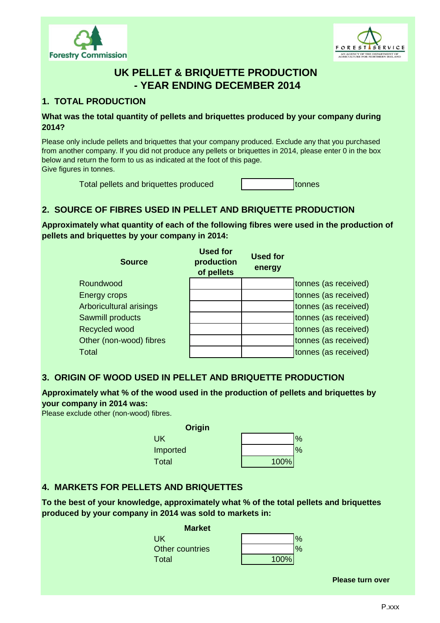



# **UK PELLET & BRIQUETTE PRODUCTION - YEAR ENDING DECEMBER 2014**

# **1. TOTAL PRODUCTION**

#### **What was the total quantity of pellets and briquettes produced by your company during 2014?**

Please only include pellets and briquettes that your company produced. Exclude any that you purchased from another company. If you did not produce any pellets or briquettes in 2014, please enter 0 in the box below and return the form to us as indicated at the foot of this page. Give figures in tonnes.

Total pellets and briquettes produced to the tonnes

# **2. SOURCE OF FIBRES USED IN PELLET AND BRIQUETTE PRODUCTION**

**Approximately what quantity of each of the following fibres were used in the production of pellets and briquettes by your company in 2014:**

| <b>Source</b>           | <b>Used for</b><br>production<br>of pellets | Used for<br>energy |                      |
|-------------------------|---------------------------------------------|--------------------|----------------------|
| Roundwood               |                                             |                    | tonnes (as received) |
| Energy crops            |                                             |                    | tonnes (as received) |
| Arboricultural arisings |                                             |                    | tonnes (as received) |
| Sawmill products        |                                             |                    | tonnes (as received) |
| Recycled wood           |                                             |                    | tonnes (as received) |
| Other (non-wood) fibres |                                             |                    | tonnes (as received) |
| <b>Total</b>            |                                             |                    | tonnes (as received) |

#### **3. ORIGIN OF WOOD USED IN PELLET AND BRIQUETTE PRODUCTION**

#### **Approximately what % of the wood used in the production of pellets and briquettes by your company in 2014 was:**

Please exclude other (non-wood) fibres.

| Origin   |      |               |
|----------|------|---------------|
| UK       |      | $\frac{1}{2}$ |
| Imported |      | $\frac{1}{2}$ |
| Total    | 100% |               |

### **4. MARKETS FOR PELLETS AND BRIQUETTES**

**To the best of your knowledge, approximately what % of the total pellets and briquettes produced by your company in 2014 was sold to markets in:**

| <b>Market</b>   |      |               |
|-----------------|------|---------------|
| UK.             |      | $\frac{1}{2}$ |
| Other countries |      |               |
| Total           | 100% |               |
|                 |      |               |

**Please turn over**